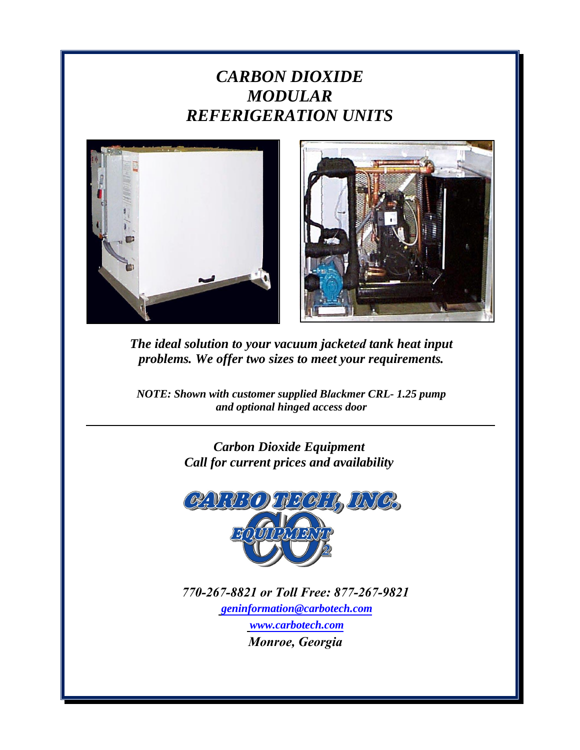# *CARBON DIOXIDE MODULAR REFERIGERATION UNITS*





*The ideal solution to your vacuum jacketed tank heat input problems. We offer two sizes to meet your requirements.*

*NOTE: Shown with customer supplied Blackmer CRL- 1.25 pump and optional hinged access door* 

> *Carbon Dioxide Equipment Call for current prices and availability*



*770-267-8821 [or To](mailto:geninformation@carbotech.com)[ll Free: 877-26](http://www.carbotech.com/)[7-98](mailto:geninformation@carbotech.com)21 geninformation@carbotech.com www.carbotech.com Monroe, Georgia*